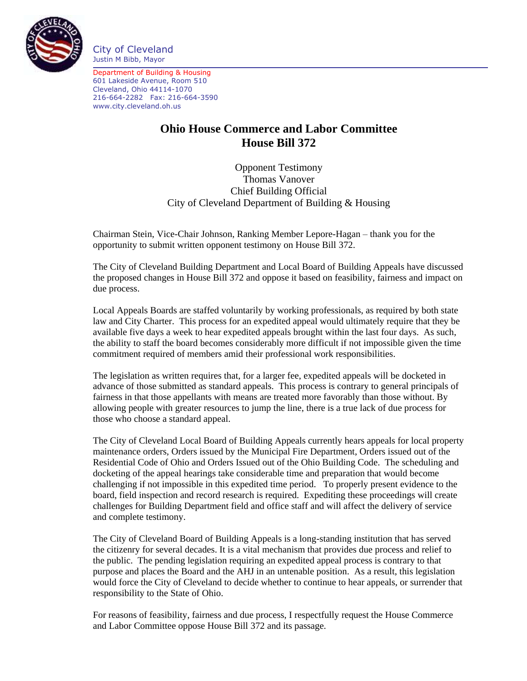

City of Cleveland Justin M Bibb, Mayor

Department of Building & Housing 601 Lakeside Avenue, Room 510 Cleveland, Ohio 44114-1070 216-664-2282 Fax: 216-664-3590 www.city.cleveland.oh.us

## **Ohio House Commerce and Labor Committee House Bill 372**

Opponent Testimony Thomas Vanover Chief Building Official City of Cleveland Department of Building & Housing

Chairman Stein, Vice-Chair Johnson, Ranking Member Lepore-Hagan – thank you for the opportunity to submit written opponent testimony on House Bill 372.

The City of Cleveland Building Department and Local Board of Building Appeals have discussed the proposed changes in House Bill 372 and oppose it based on feasibility, fairness and impact on due process.

Local Appeals Boards are staffed voluntarily by working professionals, as required by both state law and City Charter. This process for an expedited appeal would ultimately require that they be available five days a week to hear expedited appeals brought within the last four days. As such, the ability to staff the board becomes considerably more difficult if not impossible given the time commitment required of members amid their professional work responsibilities.

The legislation as written requires that, for a larger fee, expedited appeals will be docketed in advance of those submitted as standard appeals. This process is contrary to general principals of fairness in that those appellants with means are treated more favorably than those without. By allowing people with greater resources to jump the line, there is a true lack of due process for those who choose a standard appeal.

The City of Cleveland Local Board of Building Appeals currently hears appeals for local property maintenance orders, Orders issued by the Municipal Fire Department, Orders issued out of the Residential Code of Ohio and Orders Issued out of the Ohio Building Code. The scheduling and docketing of the appeal hearings take considerable time and preparation that would become challenging if not impossible in this expedited time period. To properly present evidence to the board, field inspection and record research is required. Expediting these proceedings will create challenges for Building Department field and office staff and will affect the delivery of service and complete testimony.

The City of Cleveland Board of Building Appeals is a long-standing institution that has served the citizenry for several decades. It is a vital mechanism that provides due process and relief to the public. The pending legislation requiring an expedited appeal process is contrary to that purpose and places the Board and the AHJ in an untenable position. As a result, this legislation would force the City of Cleveland to decide whether to continue to hear appeals, or surrender that responsibility to the State of Ohio.

For reasons of feasibility, fairness and due process, I respectfully request the House Commerce and Labor Committee oppose House Bill 372 and its passage.